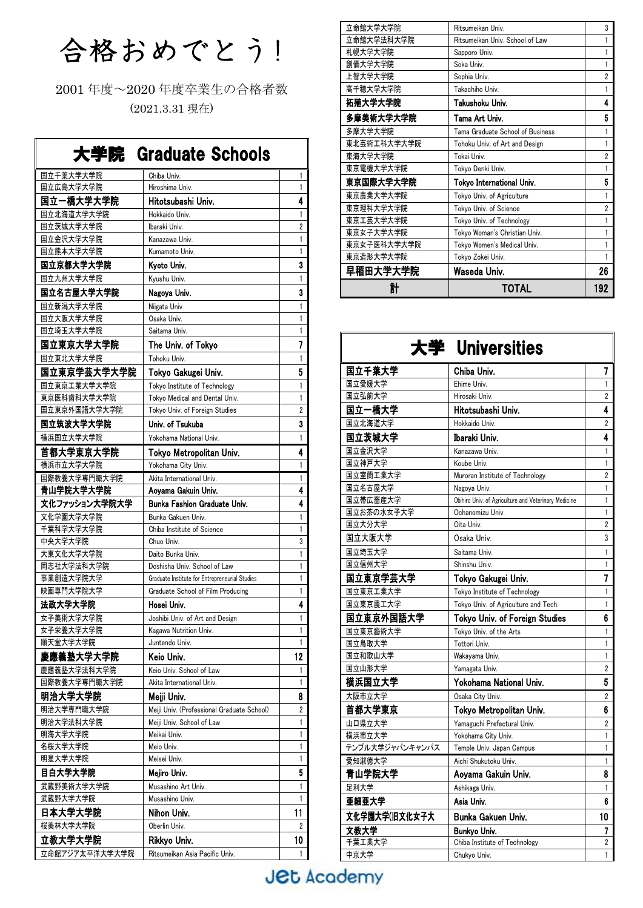合格おめでとう!

2001 年度~2020 年度卒業生の合格者数 (2021.3.31 現在)

| 大学院 Graduate Schools  |                                                |        |
|-----------------------|------------------------------------------------|--------|
| 国立千葉大学大学院             | Chiba Univ.                                    | 1      |
| 国立広島大学大学院             | Hiroshima Univ.                                | 1      |
| 国立一橋大学大学院             | Hitotsubashi Univ.                             | 4      |
| 国立北海道大学大学院            | Hokkaido Univ.                                 | 1      |
| 国立茨城大学大学院             | Ibaraki Univ.                                  | 2      |
| 国立金沢大学大学院             | Kanazawa Univ.                                 | 1      |
| 国立熊本大学大学院             | Kumamoto Univ.                                 | 1      |
| 国立京都大学大学院             | Kyoto Univ.                                    | 3      |
| 国立九州大学大学院             | Kyushu Univ.                                   | 1      |
| 国立名古屋大学大学院            | Nagoya Univ.                                   | 3      |
| 国立新潟大学大学院             | Niigata Univ                                   | 1      |
| 国立大阪大学大学院             | Osaka Univ.                                    | 1      |
| 国立埼玉大学大学院             | Saitama Univ.                                  | 1      |
| 国立東京大学大学院             | The Univ. of Tokyo                             | 7      |
| 国立東北大学大学院             | Tohoku Univ.                                   | 1      |
| 国立東京学芸大学大学院           | Tokyo Gakugei Univ.                            | 5      |
| 国立東京工業大学大学院           | Tokyo Institute of Technology                  | 1      |
| 東京医科歯科大学大学院           | Tokyo Medical and Dental Univ.                 | 1      |
| 国立東京外国語大学大学院          | Tokyo Univ. of Foreign Studies                 | 2      |
| 国立筑波大学大学院             | Univ. of Tsukuba                               | 3      |
| 横浜国立大学大学院             | Yokohama National Univ.                        | 1      |
| 首都大学東京大学院             | Tokyo Metropolitan Univ.                       | 4      |
| 横浜市立大学大学院             | Yokohama City Univ.                            | 1      |
| 国際教養大学専門職大学院          | Akita International Univ.                      | 1      |
| 青山学院大学大学院             | Aoyama Gakuin Univ.                            | 4      |
|                       |                                                |        |
| 文化ファッション大学院大学         | Bunka Fashion Graduate Univ.                   | 4      |
| 文化学園大学大学院             | Bunka Gakuen Univ.                             | 1      |
| 千葉科学大学大学院             | Chiba Institute of Science                     | 1      |
| 中央大学大学院               | Chuo Univ.                                     | 3      |
| 大東文化大学大学院             | Daito Bunka Univ.                              | 1      |
| 同志社大学法科大学院            | Doshisha Univ. School of Law                   | 1      |
| 事業創造大学院大学             | Graduate Institute for Entrepreneurial Studies | 1      |
| 映画専門大学院大学             | Graduate School of Film Producing              | 1      |
| 法政大学大学院               | Hosei Univ.                                    | 4      |
| 女子美術大学大学院             | Joshibi Univ. of Art and Design                | 1      |
| 女子栄養大学大学院<br>順天堂大学大学院 | Kagawa Nutrition Univ.<br>Juntendo Univ.       | 1<br>1 |
|                       |                                                |        |
| 慶應義塾大学大学院             | Keio Univ.                                     | 12     |
| 慶應義塾大学法科大学院           | Keio Univ. School of Law                       | 1<br>1 |
| 国際教養大学専門職大学院          | Akita International Univ.                      |        |
| 明治大学大学院               | Meiji Univ.                                    | 8      |
| 明治大学専門職大学院            | Meiji Univ. (Professional Graduate School)     | 2      |
| 明治大学法科大学院             | Meiji Univ. School of Law<br>Meikai Univ.      | 1<br>1 |
| 明海大学大学院<br>名桜大学大学院    | Meio Univ.                                     | 1      |
| 明星大学大学院               | Meisei Univ.                                   | 1      |
| 目白大学大学院               | Mejiro Univ.                                   | 5      |
| 武蔵野美術大学大学院            | Musashino Art Univ.                            | 1      |
| 武蔵野大学大学院              | Musashino Univ.                                | 1      |
| 日本大学大学院               | Nihon Univ.                                    | 11     |
| 桜美林大学大学院              | Oberlin Univ.                                  | 2      |
| 立教大学大学院               | Rikkyo Univ.                                   | 10     |

| 닭           | TOTAL                            | 192            |
|-------------|----------------------------------|----------------|
| 早稲田大学大学院    | Waseda Univ.                     | 26             |
| 東京造形大学大学院   | Tokyo Zokei Univ.                |                |
| 東京女子医科大学大学院 | Tokyo Women's Medical Univ.      |                |
| 東京女子大学大学院   | Tokyo Woman's Christian Univ.    |                |
| 東京エ芸大学大学院   | Tokyo Univ. of Technology        | 1              |
| 東京理科大学大学院   | Tokyo Univ. of Science           | $\overline{2}$ |
| 東京農業大学大学院   | Tokyo Univ. of Agriculture       |                |
| 東京国際大学大学院   | Tokyo International Univ.        | 5              |
| 東京電機大学大学院   | Tokyo Denki Univ.                |                |
| 東海大学大学院     | Tokai Univ.                      | $\overline{2}$ |
| 東北芸術工科大学大学院 | Tohoku Univ. of Art and Design   | 1              |
| 多摩大学大学院     | Tama Graduate School of Business | 1              |
| 多摩美術大学大学院   | Tama Art Univ.                   | 5              |
| 拓殖大学大学院     | Takushoku Univ.                  | 4              |
| 高千穂大学大学院    | Takachiho Univ.                  |                |
| 上智大学大学院     | Sophia Univ.                     | $\overline{2}$ |
| 創価大学大学院     | Soka Univ.                       | 1              |
| 札幌大学大学院     | Sapporo Univ.                    |                |
| 立命館大学法科大学院  | Ritsumeikan Univ. School of Law  |                |
| 立命館大学大学院    | Ritsumeikan Univ.                | 3              |

|                 | 大学 Universities                                      |                |
|-----------------|------------------------------------------------------|----------------|
| 国立千葉大学          | Chiba Univ.                                          | 7              |
| 国立愛媛大学          | Ehime Univ.                                          | 1              |
| 国立弘前大学          | Hirosaki Univ.                                       | 2              |
| 国立一橋大学          | Hitotsubashi Univ.                                   | 4              |
| 国立北海道大学         | Hokkaido Univ                                        | $\overline{2}$ |
| 国立茨城大学          | Ibaraki Univ.                                        | 4              |
| 国立金沢大学          | Kanazawa Univ.                                       | 1              |
| 国立神戸大学          | Koube Univ.                                          | 1              |
| 国立室蘭工業大学        | Muroran Institute of Technology                      | $\overline{2}$ |
| 国立名古屋大学         | Nagoya Univ.                                         | 1              |
| 国立帯広畜産大学        | Obihiro Univ. of Agriculture and Veterinary Medicine | 1              |
| 国立お茶の水女子大学      | Ochanomizu Univ.                                     | 1              |
| 国立大分大学          | Oita Univ.                                           | $\overline{2}$ |
| 国立大阪大学          | Osaka Univ.                                          | 3              |
| 国立埼玉大学          | Saitama Univ.                                        | $\mathbf{1}$   |
| 国立信州大学          | Shinshu Univ.                                        | $\mathbf{1}$   |
| 国立東京学芸大学        | Tokyo Gakugei Univ.                                  | $\overline{1}$ |
| 国立東京工業大学        | Tokyo Institute of Technology                        | 1              |
| 国立東京農工大学        | Tokyo Univ. of Agriculture and Tech.                 | 1              |
| 国立東京外国語大学       | Tokyo Univ. of Foreign Studies                       | 6              |
| 国立東京藝術大学        | Tokyo Univ. of the Arts                              | 1              |
| 国立鳥取大学          | Tottori Univ.                                        | 1              |
| 国立和歌山大学         | Wakayama Univ.                                       | 1              |
| 国立山形大学          | Yamagata Univ.                                       | $\overline{2}$ |
| 横浜国立大学          | Yokohama National Univ.                              | 5              |
| 大阪市立大学          | Osaka City Univ.                                     | $\overline{c}$ |
| 首都大学東京          | Tokyo Metropolitan Univ.                             | 6              |
| 山口県立大学          | Yamaguchi Prefectural Univ.                          | $\overline{2}$ |
| 横浜市立大学          | Yokohama City Univ.                                  | 1              |
| テンプル大学ジャパンキャンパス | Temple Univ. Japan Campus                            | $\mathbf{1}$   |
| 愛知淑徳大学          | Aichi Shukutoku Univ.                                | 1              |
| 青山学院大学          | Aoyama Gakuin Univ.                                  | 8              |
| 足利大学            | Ashikaga Univ.                                       | $\mathbf{1}$   |
| 亜細亜大学           | Asia Univ.                                           | 6              |
| 文化学園大学(旧文化女子大   | Bunka Gakuen Univ.                                   | 10             |
| 文教大学            | Bunkyo Univ.                                         | 7              |
| 千葉工業大学          | Chiba Institute of Technology                        | $\overline{2}$ |
| 中京大学            | Chukyo Univ.                                         | 1              |

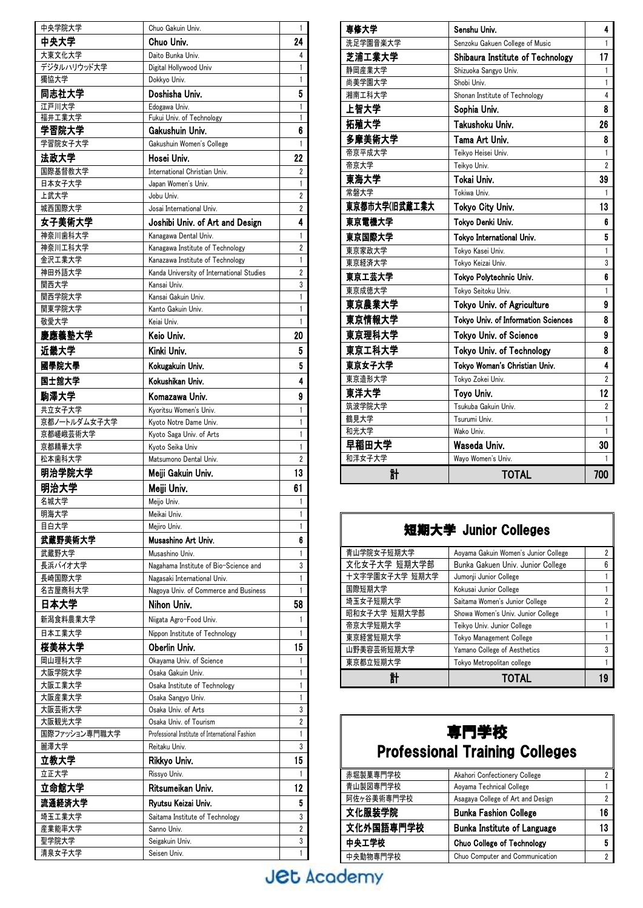| 中央学院大学                 | Chuo Gakuin Univ.                                         | 1              |
|------------------------|-----------------------------------------------------------|----------------|
| 中央大学                   | Chuo Univ.                                                | 24             |
| 大東文化大学                 | Daito Bunka Univ.                                         | 4              |
| デジタルハリウッド大学            | Digital Hollywood Univ                                    | 1              |
| 獨協大学                   | Dokkyo Univ.                                              | 1              |
| 同志社大学                  | Doshisha Univ.                                            | 5              |
| 江戸川大学                  | Edogawa Univ.                                             | 1              |
| 福井工業大学                 | Fukui Univ. of Technology                                 | 1              |
| 学習院大学                  | Gakushuin Univ.                                           | 6              |
| 学習院女子大学                | Gakushuin Women's College                                 | 1              |
| 法政大学                   | Hosei Univ.                                               | 22             |
| 国際基督教大学                | International Christian Univ.                             | $\overline{2}$ |
| 日本女子大学                 | Japan Women's Univ.                                       | 1              |
| 上武大学<br>城西国際大学         | Jobu Univ.                                                | $\overline{2}$ |
| 女子美術大学                 | Josai International Univ.                                 | 2<br>4         |
|                        | Joshibi Univ. of Art and Design                           |                |
| 神奈川歯科大学<br>神奈川工科大学     | Kanagawa Dental Univ.<br>Kanagawa Institute of Technology | 1<br>2         |
| 金沢工業大学                 | Kanazawa Institute of Technology                          | 1              |
| 神田外語大学                 | Kanda University of International Studies                 | $\overline{2}$ |
| 関西大学                   | Kansai Univ.                                              | 3              |
| 関西学院大学                 | Kansai Gakuin Univ.                                       | 1              |
| 関東学院大学                 | Kanto Gakuin Univ.                                        | 1              |
| 敬愛大学                   | Keiai Univ.                                               | 1              |
| 慶應義塾大学                 | Keio Univ.                                                | 20             |
| 近畿大学                   | Kinki Univ.                                               | 5              |
| 國學院大學                  | Kokugakuin Univ.                                          | 5              |
| 国士舘大学                  | Kokushikan Univ.                                          | 4              |
|                        |                                                           |                |
| 駒澤大学                   | Komazawa Univ.                                            | 9              |
| 共立女子大学<br>京都ノートルダム女子大学 | Kyoritsu Women's Univ.<br>Kyoto Notre Dame Univ.          | 1<br>1         |
| 京都嵯峨芸術大学               | Kyoto Saga Univ. of Arts                                  | 1              |
| 京都精華大学                 | Kyoto Seika Univ                                          | 1              |
| 松本歯科大学                 | Matsumono Dental Univ.                                    | 2              |
|                        |                                                           |                |
|                        |                                                           | 13             |
| 明治学院大学                 | Meiji Gakuin Univ.                                        |                |
| 明治大学                   | Meiji Univ.                                               | 61             |
| 名城大学                   | Meiio Univ.                                               | 1              |
| 明海大学<br>目白大学           | Meikai Univ.<br>Mejiro Univ.                              | 1<br>1         |
|                        | Musashino Art Univ.                                       | 6              |
| 武蔵野美術大学<br>武蔵野大学       | Musashino Univ.                                           | 1              |
| 長浜バイオ大学                | Nagahama Institute of Bio-Science and                     | 3              |
| 長崎国際大学                 | Nagasaki International Univ.                              | 1              |
| 名古屋商科大学                | Nagoya Univ. of Commerce and Business                     | 1              |
| 日本大学                   | Nihon Univ.                                               | 58             |
| 新潟食料農業大学               | Niigata Agro-Food Univ.                                   | 1              |
| 日本工業大学                 | Nippon Institute of Technology                            | 1              |
|                        | Oberlin Univ.                                             | 15             |
| 桜美林大学<br>岡山理科大学        | Okayama Univ. of Science                                  | 1              |
| 大阪学院大学                 | Osaka Gakuin Univ.                                        | 1              |
| 大阪工業大学                 | Osaka Institute of Technology                             | 1              |
| 大阪産業大学                 | Osaka Sangyo Univ.                                        | 1              |
| 大阪芸術大学                 | Osaka Univ. of Arts                                       | 3              |
| 大阪観光大学                 | Osaka Univ. of Tourism                                    | 2              |
| 国際ファッション専門職大学          | Professional Institute of International Fashion           | 1              |
| 麗澤大学                   | Reitaku Univ.                                             | 3              |
| 立教大学                   | Rikkyo Univ.                                              | 15             |
| 立正大学                   | Rissyo Univ.                                              | 1              |
| 立命館大学                  | Ritsumeikan Univ.                                         | 12             |
| 流通経済大学                 | Ryutsu Keizai Univ.                                       | 5              |
| 埼玉工業大学                 | Saitama Institute of Technology                           | 3              |
| 産業能率大学                 | Sanno Univ.                                               | 2              |
| 聖学院大学<br>清泉女子大学        | Seigakuin Univ.<br>Seisen Univ.                           | 3<br>1         |

| 専修大学          | Senshu Univ.                        | 4              |
|---------------|-------------------------------------|----------------|
| 洗足学園音楽大学      | Senzoku Gakuen College of Music     | 1              |
| 芝浦工業大学        | Shibaura Institute of Technology    | 17             |
| 静岡産業大学        | Shizuoka Sangyo Univ.               | 1              |
| 尚美学園大学        | Shobi Univ.                         | 1              |
| 湘南工科大学        | Shonan Institute of Technology      | 4              |
| 上智大学          | Sophia Univ.                        | 8              |
| 拓殖大学          | Takushoku Univ.                     | 26             |
| 多摩美術大学        | Tama Art Univ.                      | 8              |
| 帝京平成大学        | Teikyo Heisei Univ.                 | 1              |
| 帝京大学          | Teikyo Univ.                        | $\overline{2}$ |
| 東海大学          | Tokai Univ.                         | 39             |
| 常磐大学          | Tokiwa Univ.                        | 1              |
| 東京都市大学(旧武蔵工業大 | Tokyo City Univ.                    | 13             |
| 東京電機大学        | Tokvo Denki Univ.                   | 6              |
| 東京国際大学        | Tokvo International Univ.           | 5              |
| 東京家政大学        | Tokyo Kasei Univ.                   | 1              |
| 東京経済大学        | Tokyo Keizai Univ.                  | 3              |
| 東京工芸大学        | Tokyo Polytechnic Univ.             | 6              |
| 東京成徳大学        | Tokyo Seitoku Univ.                 | 1              |
| 東京農業大学        | Tokyo Univ. of Agriculture          | 9              |
| 東京情報大学        | Tokyo Univ. of Information Sciences | 8              |
| 東京理科大学        | Tokyo Univ. of Science              | 9              |
| 東京エ科大学        | Tokyo Univ. of Technology           | 8              |
| 東京女子大学        | Tokyo Woman's Christian Univ.       | 4              |
| 東京造形大学        | Tokyo Zokei Univ.                   | 2              |
| 東洋大学          | Toyo Univ.                          | 12             |
| 筑波学院大学        | Tsukuba Gakuin Univ.                | $\overline{2}$ |
| 鶴見大学          | Tsurumi Univ.                       | 1              |
| 和光大学          | Wako Univ.                          | 1              |
| 早稲田大学         | Waseda Univ.                        | 30             |
| 和洋女子大学        | Wayo Women's Univ.                  | 1              |
| 計             | TOTAL                               | 700            |

| 短期大学 Junior Colleges |                                      |   |
|----------------------|--------------------------------------|---|
| 青山学院女子短期大学           | Aoyama Gakuin Women's Junior College | 2 |
| 文化女子大学 短期大学部         | Bunka Gakuen Univ. Junior College    |   |
| 十文字学園女子大学 短期大学       | Jumonji Junior College               |   |
| 国際短期大学               | Kokusai Junior College               |   |
| 埼玉女子短期大学             | Saitama Women's Junior College       |   |
| 昭和女子大学 短期大学部         | Showa Women's Univ. Junior College   |   |
| 帝京大学短期大学             | Teikyo Univ. Junior College          |   |
| 東京経営短期大学             | Tokyo Management College             |   |
| 山野美容芸術短期大学           | Yamano College of Aesthetics         | 3 |
| 東京都立短期大学             | Tokyo Metropolitan college           |   |
|                      | TOTAL                                |   |

## 専門学校 Professional Training Colleges

| 赤堀製菓専門学校   | Akahori Confectionery College      |    |
|------------|------------------------------------|----|
| 青山製図専門学校   | Aoyama Technical College           |    |
| 阿佐ヶ谷美術専門学校 | Asagaya College of Art and Design  |    |
| 文化服装学院     | <b>Bunka Fashion College</b>       | 16 |
| 文化外国語専門学校  | <b>Bunka Institute of Language</b> | 13 |
| 中央工学校      | <b>Chuo College of Technology</b>  |    |
| 中央動物専門学校   | Chuo Computer and Communication    |    |